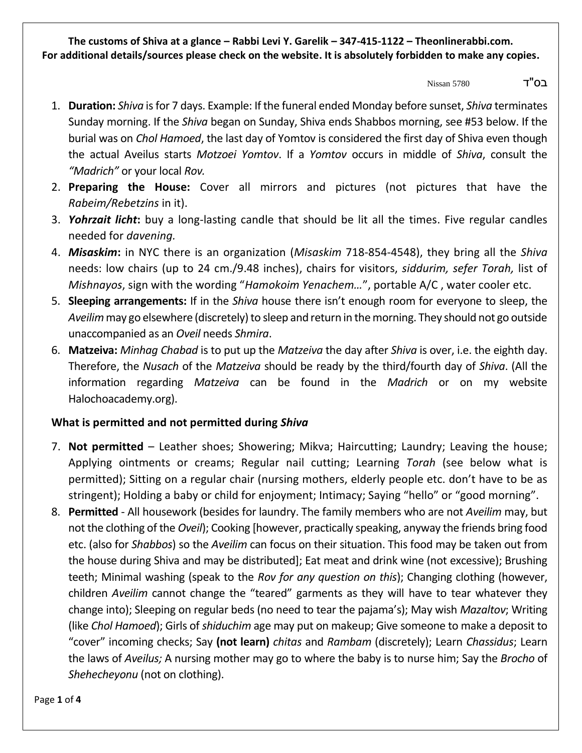בס"ד 5780 Nissan

- 1. **Duration:** *Shiva* is for 7 days. Example: If the funeral ended Monday before sunset, *Shiva* terminates Sunday morning. If the *Shiva* began on Sunday, Shiva ends Shabbos morning, see #53 below. If the burial was on *Chol Hamoed*, the last day of Yomtov is considered the first day of Shiva even though the actual Aveilus starts *Motzoei Yomtov*. If a *Yomtov* occurs in middle of *Shiva*, consult the *"Madrich"* or your local *Rov.*
- 2. **Preparing the House:** Cover all mirrors and pictures (not pictures that have the *Rabeim/Rebetzins* in it).
- 3. *Yohrzait licht***:** buy a long-lasting candle that should be lit all the times. Five regular candles needed for *davening.*
- 4. *Misaskim***:** in NYC there is an organization (*Misaskim* 718-854-4548), they bring all the *Shiva* needs: low chairs (up to 24 cm./9.48 inches), chairs for visitors, *siddurim, sefer Torah,* list of *Mishnayos*, sign with the wording "*Hamokoim Yenachem…*", portable A/C , water cooler etc.
- 5. **Sleeping arrangements:** If in the *Shiva* house there isn't enough room for everyone to sleep, the *Aveilim*may go elsewhere (discretely) to sleep and return in the morning. They should not go outside unaccompanied as an *Oveil* needs *Shmira*.
- 6. **Matzeiva:** *Minhag Chabad* is to put up the *Matzeiva* the day after *Shiva* is over, i.e. the eighth day. Therefore, the *Nusach* of the *Matzeiva* should be ready by the third/fourth day of *Shiva*. (All the information regarding *Matzeiva* can be found in the *Madrich* or on my website Halochoacademy.org).

### **What is permitted and not permitted during** *Shiva*

- 7. **Not permitted** Leather shoes; Showering; Mikva; Haircutting; Laundry; Leaving the house; Applying ointments or creams; Regular nail cutting; Learning *Torah* (see below what is permitted); Sitting on a regular chair (nursing mothers, elderly people etc. don't have to be as stringent); Holding a baby or child for enjoyment; Intimacy; Saying "hello" or "good morning".
- 8. **Permitted** All housework (besides for laundry. The family members who are not *Aveilim* may, but not the clothing of the *Oveil*); Cooking [however, practically speaking, anyway the friends bring food etc. (also for *Shabbos*) so the *Aveilim* can focus on their situation. This food may be taken out from the house during Shiva and may be distributed]; Eat meat and drink wine (not excessive); Brushing teeth; Minimal washing (speak to the *Rov for any question on this*); Changing clothing (however, children *Aveilim* cannot change the "teared" garments as they will have to tear whatever they change into); Sleeping on regular beds (no need to tear the pajama's); May wish *Mazaltov*; Writing (like *Chol Hamoed*); Girls of *shiduchim* age may put on makeup; Give someone to make a deposit to "cover" incoming checks; Say **(not learn)** *chitas* and *Rambam* (discretely); Learn *Chassidus*; Learn the laws of *Aveilus;* A nursing mother may go to where the baby is to nurse him; Say the *Brocho* of *Shehecheyonu* (not on clothing).

Page **1** of **4**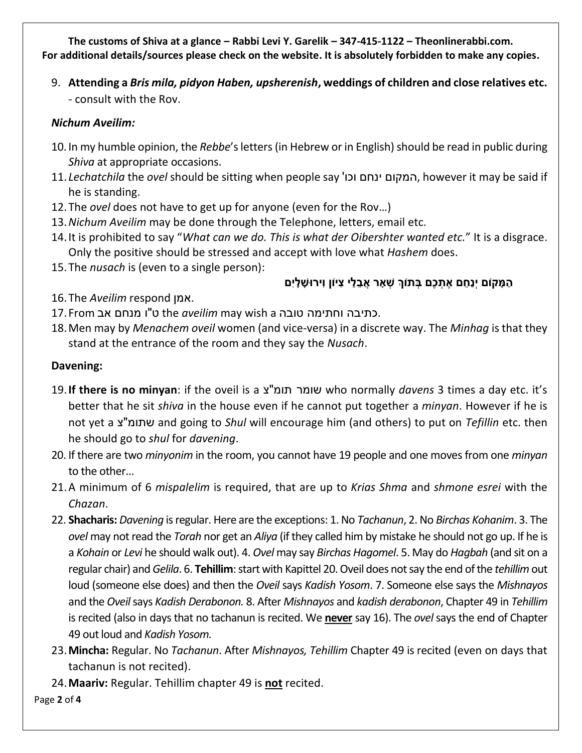9. **Attending a** *Bris mila, pidyon Haben, upsherenish***, weddings of children and close relatives etc.** - consult with the Rov.

### *Nichum Aveilim:*

- 10. In my humble opinion, the *Rebbe*'s letters (in Hebrew or in English) should be read in public during *Shiva* at appropriate occasions.
- 11. *Lechatchila* the *ovel* should be sitting when people say 'וכו ינחם המקום, however it may be said if he is standing.
- 12.The *ovel* does not have to get up for anyone (even for the Rov…)
- 13.*Nichum Aveilim* may be done through the Telephone, letters, email etc.
- 14.It is prohibited to say "*What can we do. This is what der Oibershter wanted etc.*" It is a disgrace. Only the positive should be stressed and accept with love what *Hashem* does.
- 15.The *nusach* is (even to a single person):

# הַמָּקוֹם יְנַחֵם אֶתְכֶם בְּתוֹךְ שָׁאָר אֲבֵלֵי צִיוֹן וִירוּשָׁלָיִם

- 16.The *Aveilim* respond אמן.
- .כתיבה וחתימה טובה a wish may *aveilim* the ט"ו מנחם אב From 17.
- 18.Men may by *Menachem oveil* women (and vice-versa) in a discrete way. The *Minhag* is that they stand at the entrance of the room and they say the *Nusach*.

### **Davening:**

- 19.**If there is no minyan**: if the oveil is a צ"תומ שומר who normally *davens* 3 times a day etc. it's better that he sit *shiva* in the house even if he cannot put together a *minyan*. However if he is not yet a צ"שתומ and going to *Shul* will encourage him (and others) to put on *Tefillin* etc. then he should go to *shul* for *davening*.
- 20. If there are two *minyonim* in the room, you cannot have 19 people and one moves from one *minyan* to the other...
- 21.A minimum of 6 *mispalelim* is required, that are up to *Krias Shma* and *shmone esrei* with the *Chazan*.
- 22. **Shacharis:** *Davening* is regular. Here are the exceptions: 1. No *Tachanun*, 2. No *Birchas Kohanim*. 3. The *ovel* may not read the *Torah* nor get an *Aliya* (if they called him by mistake he should not go up. If he is a *Kohain* or *Levi* he should walk out). 4. *Ovel* may say *Birchas Hagomel*. 5. May do *Hagbah* (and sit on a regular chair) and *Gelila*. 6. **Tehillim**: start with Kapittel 20. Oveil does not say the end of the *tehillim*out loud (someone else does) and then the *Oveil* says *Kadish Yosom*. 7. Someone else says the *Mishnayos* and the *Oveil*says *Kadish Derabonon.* 8. After *Mishnayos* and *kadish derabonon*, Chapter 49 in *Tehillim* is recited (also in days that no tachanun is recited. We **never** say 16). The *ovel* says the end of Chapter 49 out loud and *Kadish Yosom.*
- 23.**Mincha:** Regular. No *Tachanun*. After *Mishnayos, Tehillim* Chapter 49 is recited (even on days that tachanun is not recited).
- 24.**Maariv:** Regular. Tehillim chapter 49 is **not** recited.

Page **2** of **4**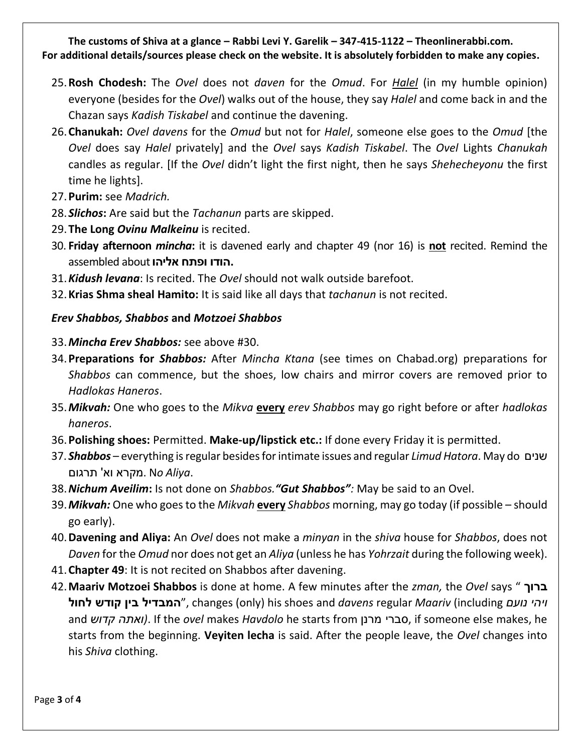- 25.**Rosh Chodesh:** The *Ovel* does not *daven* for the *Omud*. For *Halel* (in my humble opinion) everyone (besides for the *Ovel*) walks out of the house, they say *Halel* and come back in and the Chazan says *Kadish Tiskabel* and continue the davening.
- 26.**Chanukah:** *Ovel davens* for the *Omud* but not for *Halel*, someone else goes to the *Omud* [the *Ovel* does say *Halel* privately] and the *Ovel* says *Kadish Tiskabel*. The *Ovel* Lights *Chanukah* candles as regular. [If the *Ovel* didn't light the first night, then he says *Shehecheyonu* the first time he lights].
- 27.**Purim:** see *Madrich.*
- 28. *Slichos***:** Are said but the *Tachanun* parts are skipped.
- 29.**The Long** *Ovinu Malkeinu* is recited.
- 30. **Friday afternoon** *mincha***:** it is davened early and chapter 49 (nor 16) is **not** recited. Remind the **.הודו ופתח אליהו** about assembled
- 31.*Kidush levana*: Is recited. The *Ovel* should not walk outside barefoot.
- 32.**Krias Shma sheal Hamito:** It is said like all days that *tachanun* is not recited.

# *Erev Shabbos, Shabbos* **and** *Motzoei Shabbos*

- 33.*Mincha Erev Shabbos:* see above #30.
- 34.**Preparations for** *Shabbos:* After *Mincha Ktana* (see times on Chabad.org) preparations for *Shabbos* can commence, but the shoes, low chairs and mirror covers are removed prior to *Hadlokas Haneros*.
- 35.*Mikvah:* One who goes to the *Mikva* **every** *erev Shabbos* may go right before or after *hadlokas haneros*.
- 36.**Polishing shoes:** Permitted. **Make-up/lipstick etc.:** If done every Friday it is permitted.
- 37. *Shabbos* everything is regular besides for intimate issues and regular *Limud Hatora*. May do שנים .*Aliya* N*o* .מקרא וא' תרגום
- 38.*Nichum Aveilim***:** Is not done on *Shabbos."Gut Shabbos":* May be said to an Ovel.
- 39.*Mikvah:* One who goes to the *Mikvah* **every** *Shabbos* morning, may go today (if possible should go early).
- 40.**Davening and Aliya:** An *Ovel* does not make a *minyan* in the *shiva* house for *Shabbos*, does not *Daven* for the *Omud* nor does not get an *Aliya* (unless he has *Yohrzait* during the following week).
- 41.**Chapter 49**: It is not recited on Shabbos after davening.
- 42.**Maariv Motzoei Shabbos** is done at home. A few minutes after the *zman,* the *Ovel* says " **ברוך לחול קודש בין המבדיל**", changes (only) his shoes and *davens* regular *Maariv* (including *נועם ויהי* and *קדוש ואתה(*. If the *ovel* makes *Havdolo* he starts from מרנן סברי, if someone else makes, he starts from the beginning. **Veyiten lecha** is said. After the people leave, the *Ovel* changes into his *Shiva* clothing.